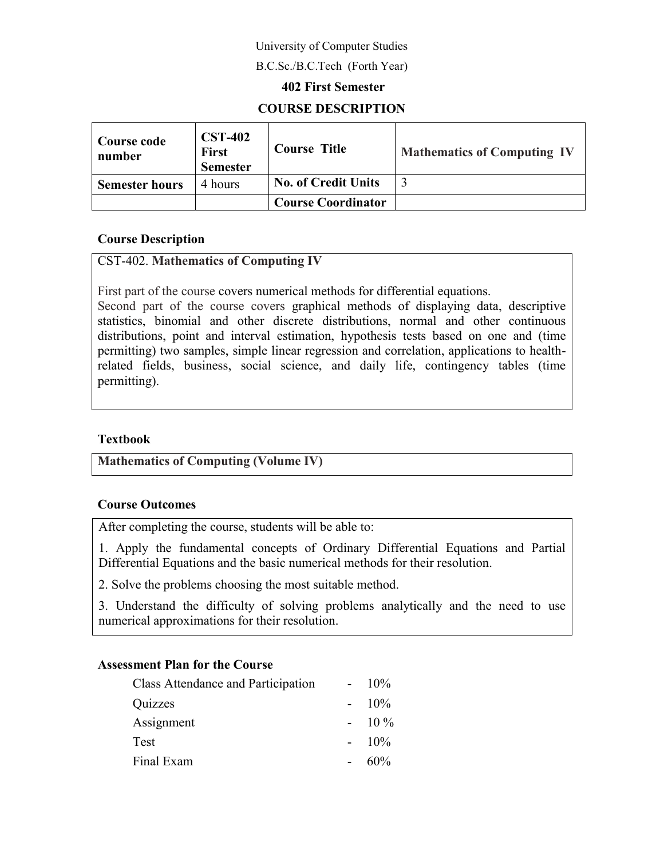## University of Computer Studies

#### B.C.Sc./B.C.Tech (Forth Year)

#### **402 First Semester**

## **COURSE DESCRIPTION**

| Course code<br>number | <b>CST-402</b><br><b>First</b><br><b>Semester</b> | <b>Course Title</b>        | <b>Mathematics of Computing IV</b> |
|-----------------------|---------------------------------------------------|----------------------------|------------------------------------|
| <b>Semester hours</b> | 4 hours                                           | <b>No. of Credit Units</b> |                                    |
|                       |                                                   | <b>Course Coordinator</b>  |                                    |

#### **Course Description**

## CST-402. **Mathematics of Computing IV**

First part of the course covers numerical methods for differential equations.

Second part of the course covers graphical methods of displaying data, descriptive statistics, binomial and other discrete distributions, normal and other continuous distributions, point and interval estimation, hypothesis tests based on one and (time permitting) two samples, simple linear regression and correlation, applications to healthrelated fields, business, social science, and daily life, contingency tables (time permitting).

## **Textbook**

**Mathematics of Computing (Volume IV)**

#### **Course Outcomes**

After completing the course, students will be able to:

1. Apply the fundamental concepts of Ordinary Differential Equations and Partial Differential Equations and the basic numerical methods for their resolution.

2. Solve the problems choosing the most suitable method.

3. Understand the difficulty of solving problems analytically and the need to use numerical approximations for their resolution.

#### **Assessment Plan for the Course**

| $10\%$ |
|--------|
| $10\%$ |
| $10\%$ |
| $10\%$ |
| 60%    |
|        |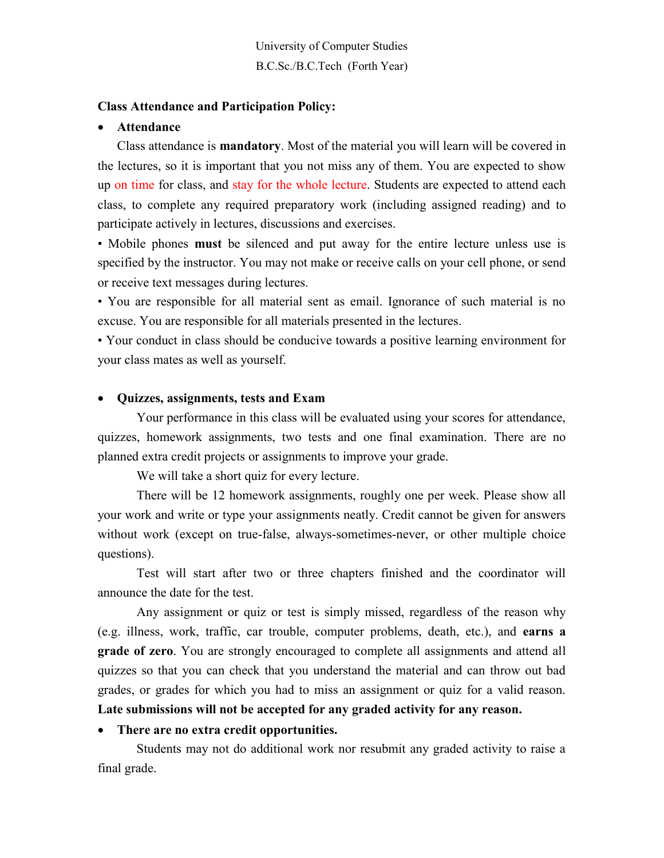University of Computer Studies B.C.Sc./B.C.Tech (Forth Year)

#### **Class Attendance and Participation Policy:**

#### **Attendance**

Class attendance is **mandatory**. Most of the material you will learn will be covered in the lectures, so it is important that you not miss any of them. You are expected to show up on time for class, and stay for the whole lecture. Students are expected to attend each class, to complete any required preparatory work (including assigned reading) and to participate actively in lectures, discussions and exercises.

• Mobile phones **must** be silenced and put away for the entire lecture unless use is specified by the instructor. You may not make or receive calls on your cell phone, or send or receive text messages during lectures.

• You are responsible for all material sent as email. Ignorance of such material is no excuse. You are responsible for all materials presented in the lectures.

• Your conduct in class should be conducive towards a positive learning environment for your class mates as well as yourself.

#### **Quizzes, assignments, tests and Exam**

Your performance in this class will be evaluated using your scores for attendance, quizzes, homework assignments, two tests and one final examination. There are no planned extra credit projects or assignments to improve your grade.

We will take a short quiz for every lecture.

There will be 12 homework assignments, roughly one per week. Please show all your work and write or type your assignments neatly. Credit cannot be given for answers without work (except on true-false, always-sometimes-never, or other multiple choice questions).

Test will start after two or three chapters finished and the coordinator will announce the date for the test.

Any assignment or quiz or test is simply missed, regardless of the reason why (e.g. illness, work, traffic, car trouble, computer problems, death, etc.), and **earns a grade of zero**. You are strongly encouraged to complete all assignments and attend all quizzes so that you can check that you understand the material and can throw out bad grades, or grades for which you had to miss an assignment or quiz for a valid reason. **Late submissions will not be accepted for any graded activity for any reason.**

#### **There are no extra credit opportunities.**

Students may not do additional work nor resubmit any graded activity to raise a final grade.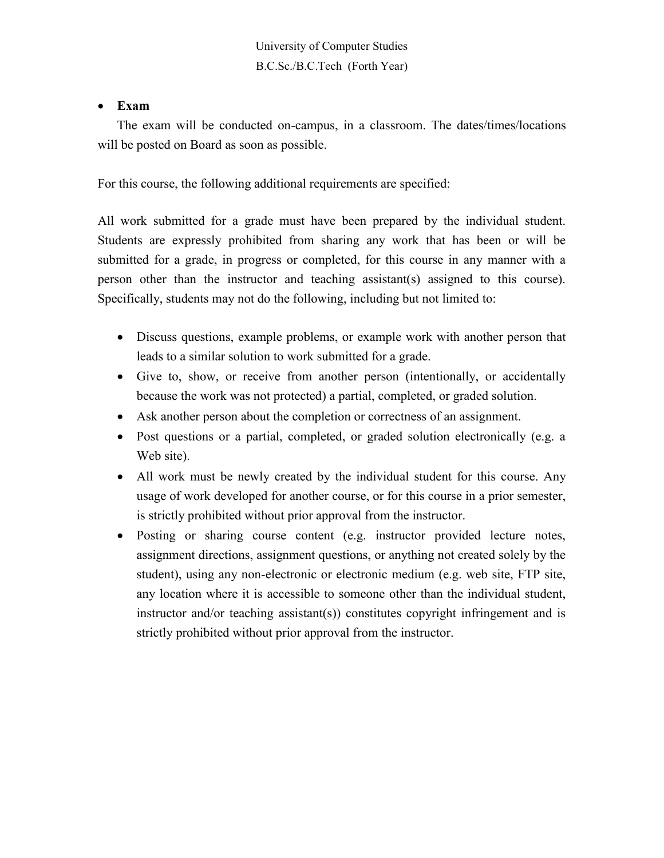University of Computer Studies B.C.Sc./B.C.Tech (Forth Year)

#### **Exam**

The exam will be conducted on-campus, in a classroom. The dates/times/locations will be posted on Board as soon as possible.

For this course, the following additional requirements are specified:

All work submitted for a grade must have been prepared by the individual student. Students are expressly prohibited from sharing any work that has been or will be submitted for a grade, in progress or completed, for this course in any manner with a person other than the instructor and teaching assistant(s) assigned to this course). Specifically, students may not do the following, including but not limited to:

- Discuss questions, example problems, or example work with another person that leads to a similar solution to work submitted for a grade.
- Give to, show, or receive from another person (intentionally, or accidentally because the work was not protected) a partial, completed, or graded solution.
- Ask another person about the completion or correctness of an assignment.
- Post questions or a partial, completed, or graded solution electronically (e.g. a Web site).
- All work must be newly created by the individual student for this course. Any usage of work developed for another course, or for this course in a prior semester, is strictly prohibited without prior approval from the instructor.
- Posting or sharing course content (e.g. instructor provided lecture notes, assignment directions, assignment questions, or anything not created solely by the student), using any non-electronic or electronic medium (e.g. web site, FTP site, any location where it is accessible to someone other than the individual student, instructor and/or teaching assistant(s)) constitutes copyright infringement and is strictly prohibited without prior approval from the instructor.